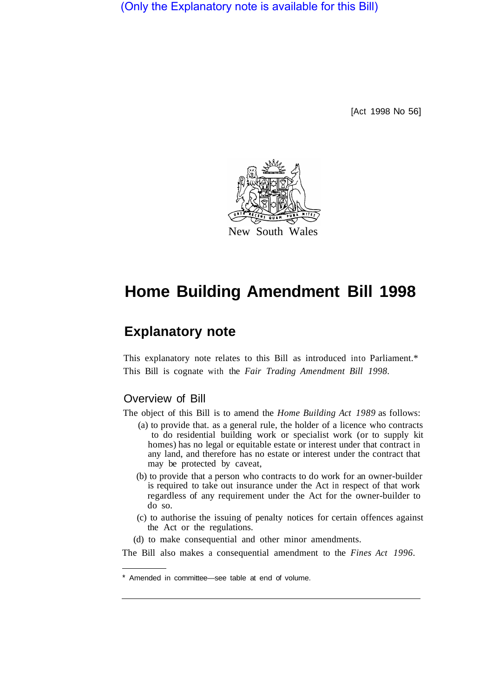(Only the Explanatory note is available for this Bill)

[Act 1998 No 56]



# **Home Building Amendment Bill 1998**

## **Explanatory note**

This explanatory note relates to this Bill as introduced into Parliament.\* This Bill is cognate with the *Fair Trading Amendment Bill 1998.* 

### Overview of Bill

The object of this Bill is to amend the *Home Building Act 1989* as follows:

- (a) to provide that. as a general rule, the holder of a licence who contracts to do residential building work or specialist work (or to supply kit homes) has no legal or equitable estate or interest under that contract in any land, and therefore has no estate or interest under the contract that may be protected by caveat,
- (b) to provide that a person who contracts to do work for an owner-builder is required to take out insurance under the Act in respect of that work regardless of any requirement under the Act for the owner-builder to do so.
- (c) to authorise the issuing of penalty notices for certain offences against the Act or the regulations.
- (d) to make consequential and other minor amendments.

The Bill also makes a consequential amendment to the *Fines Act 1996.* 

Amended in committee—see table at end of volume.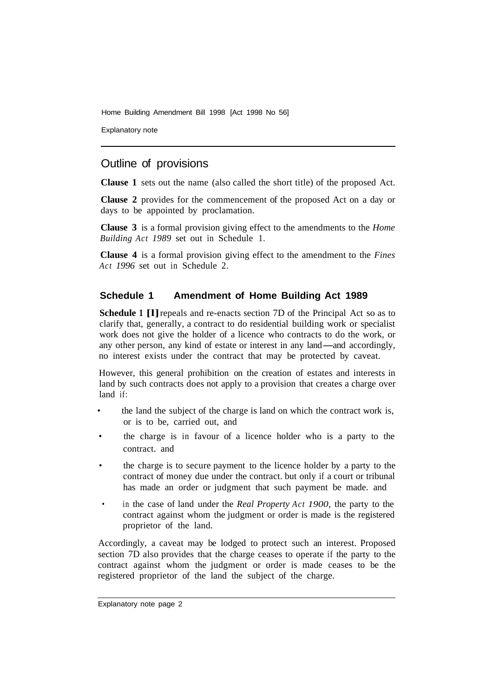Home Building Amendment Bill 1998 [Act 1998 No 56]

Explanatory note

## Outline of provisions

**Clause 1** sets out the name (also called the short title) of the proposed Act.

**Clause 2** provides for the commencement of the proposed Act on a day or days to be appointed by proclamation.

**Clause 3** is a formal provision giving effect to the amendments to the *Home Building Act 1989* set out in Schedule 1.

**Clause 4** is a formal provision giving effect to the amendment to the *Fines Act 1996* set out in Schedule 2.

#### **Schedule 1 Amendment of Home Building Act 1989**

**Schedule 1 [1]** repeals and re-enacts section 7D of the Principal Act so as to clarify that, generally, a contract to do residential building work or specialist work does not give the holder of a licence who contracts to do the work, or any other person, any kind of estate or interest in any land-and accordingly, no interest exists under the contract that may be protected by caveat.

However, this general prohibition on the creation of estates and interests in land by such contracts does not apply to a provision that creates a charge over land if:

- the land the subject of the charge is land on which the contract work is, or is to be, carried out, and
- the charge is in favour of a licence holder who is a party to the contract. and
- the charge is to secure payment to the licence holder by a party to the contract of money due under the contract. but only if a court or tribunal has made an order or judgment that such payment be made. and
- in the case of land under the *Real Property Act 1900,* the party to the contract against whom the judgment or order is made is the registered proprietor of the land.

Accordingly, a caveat may be lodged to protect such an interest. Proposed section 7D also provides that the charge ceases to operate if the party to the contract against whom the judgment or order is made ceases to be the registered proprietor of the land the subject of the charge.